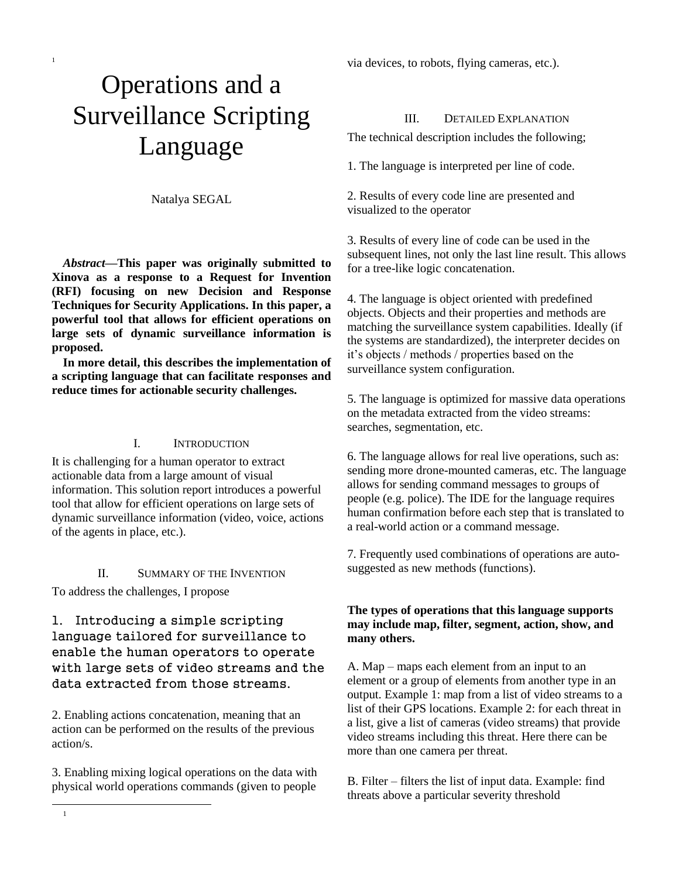# Operations and a Surveillance Scripting Language

1

Natalya SEGAL

*Abstract***—This paper was originally submitted to Xinova as a response to a Request for Invention (RFI) focusing on new Decision and Response Techniques for Security Applications. In this paper, a powerful tool that allows for efficient operations on large sets of dynamic surveillance information is proposed.** 

**In more detail, this describes the implementation of a scripting language that can facilitate responses and reduce times for actionable security challenges.**

#### I. INTRODUCTION

It is challenging for a human operator to extract actionable data from a large amount of visual information. This solution report introduces a powerful tool that allow for efficient operations on large sets of dynamic surveillance information (video, voice, actions of the agents in place, etc.).

### II. SUMMARY OF THE INVENTION

To address the challenges, I propose

l 1

## 1. Introducing a simple scripting language tailored for surveillance to enable the human operators to operate with large sets of video streams and the data extracted from those streams.

2. Enabling actions concatenation, meaning that an action can be performed on the results of the previous action/s.

3. Enabling mixing logical operations on the data with physical world operations commands (given to people

via devices, to robots, flying cameras, etc.).

#### III. DETAILED EXPLANATION

The technical description includes the following;

1. The language is interpreted per line of code.

2. Results of every code line are presented and visualized to the operator

3. Results of every line of code can be used in the subsequent lines, not only the last line result. This allows for a tree-like logic concatenation.

4. The language is object oriented with predefined objects. Objects and their properties and methods are matching the surveillance system capabilities. Ideally (if the systems are standardized), the interpreter decides on it's objects / methods / properties based on the surveillance system configuration.

5. The language is optimized for massive data operations on the metadata extracted from the video streams: searches, segmentation, etc.

6. The language allows for real live operations, such as: sending more drone-mounted cameras, etc. The language allows for sending command messages to groups of people (e.g. police). The IDE for the language requires human confirmation before each step that is translated to a real-world action or a command message.

7. Frequently used combinations of operations are autosuggested as new methods (functions).

## **The types of operations that this language supports may include map, filter, segment, action, show, and many others.**

A. Map – maps each element from an input to an element or a group of elements from another type in an output. Example 1: map from a list of video streams to a list of their GPS locations. Example 2: for each threat in a list, give a list of cameras (video streams) that provide video streams including this threat. Here there can be more than one camera per threat.

B. Filter – filters the list of input data. Example: find threats above a particular severity threshold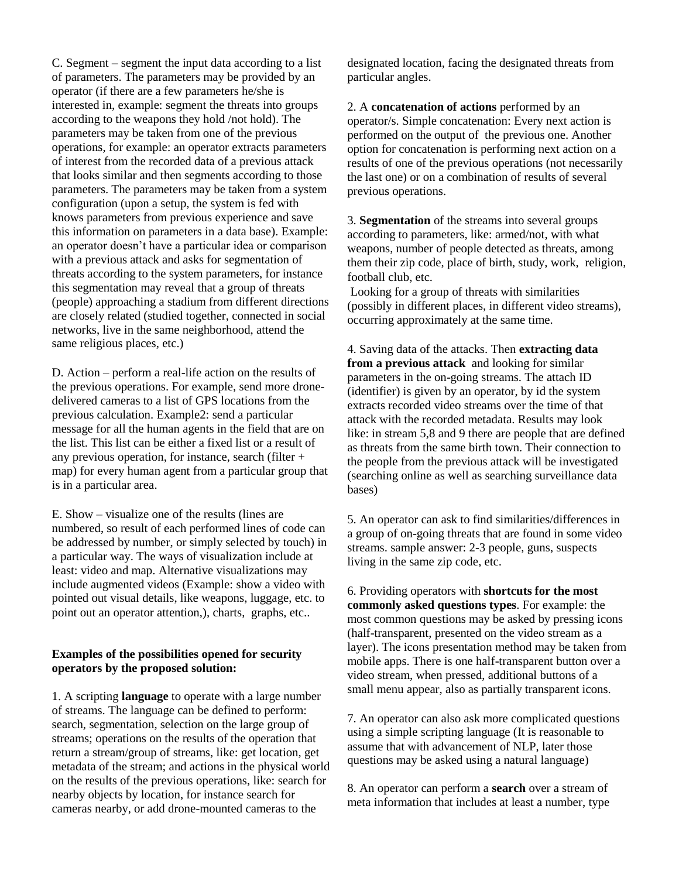C. Segment – segment the input data according to a list of parameters. The parameters may be provided by an operator (if there are a few parameters he/she is interested in, example: segment the threats into groups according to the weapons they hold /not hold). The parameters may be taken from one of the previous operations, for example: an operator extracts parameters of interest from the recorded data of a previous attack that looks similar and then segments according to those parameters. The parameters may be taken from a system configuration (upon a setup, the system is fed with knows parameters from previous experience and save this information on parameters in a data base). Example: an operator doesn't have a particular idea or comparison with a previous attack and asks for segmentation of threats according to the system parameters, for instance this segmentation may reveal that a group of threats (people) approaching a stadium from different directions are closely related (studied together, connected in social networks, live in the same neighborhood, attend the same religious places, etc.)

D. Action – perform a real-life action on the results of the previous operations. For example, send more dronedelivered cameras to a list of GPS locations from the previous calculation. Example2: send a particular message for all the human agents in the field that are on the list. This list can be either a fixed list or a result of any previous operation, for instance, search (filter + map) for every human agent from a particular group that is in a particular area.

E. Show – visualize one of the results (lines are numbered, so result of each performed lines of code can be addressed by number, or simply selected by touch) in a particular way. The ways of visualization include at least: video and map. Alternative visualizations may include augmented videos (Example: show a video with pointed out visual details, like weapons, luggage, etc. to point out an operator attention,), charts, graphs, etc..

## **Examples of the possibilities opened for security operators by the proposed solution:**

1. A scripting **language** to operate with a large number of streams. The language can be defined to perform: search, segmentation, selection on the large group of streams; operations on the results of the operation that return a stream/group of streams, like: get location, get metadata of the stream; and actions in the physical world on the results of the previous operations, like: search for nearby objects by location, for instance search for cameras nearby, or add drone-mounted cameras to the

designated location, facing the designated threats from particular angles.

2. A **concatenation of actions** performed by an operator/s. Simple concatenation: Every next action is performed on the output of the previous one. Another option for concatenation is performing next action on a results of one of the previous operations (not necessarily the last one) or on a combination of results of several previous operations.

3. **Segmentation** of the streams into several groups according to parameters, like: armed/not, with what weapons, number of people detected as threats, among them their zip code, place of birth, study, work, religion, football club, etc.

Looking for a group of threats with similarities (possibly in different places, in different video streams), occurring approximately at the same time.

4. Saving data of the attacks. Then **extracting data from a previous attack** and looking for similar parameters in the on-going streams. The attach ID (identifier) is given by an operator, by id the system extracts recorded video streams over the time of that attack with the recorded metadata. Results may look like: in stream 5,8 and 9 there are people that are defined as threats from the same birth town. Their connection to the people from the previous attack will be investigated (searching online as well as searching surveillance data bases)

5. An operator can ask to find similarities/differences in a group of on-going threats that are found in some video streams. sample answer: 2-3 people, guns, suspects living in the same zip code, etc.

6. Providing operators with **shortcuts for the most commonly asked questions types**. For example: the most common questions may be asked by pressing icons (half-transparent, presented on the video stream as a layer). The icons presentation method may be taken from mobile apps. There is one half-transparent button over a video stream, when pressed, additional buttons of a small menu appear, also as partially transparent icons.

7. An operator can also ask more complicated questions using a simple scripting language (It is reasonable to assume that with advancement of NLP, later those questions may be asked using a natural language)

8. An operator can perform a **search** over a stream of meta information that includes at least a number, type